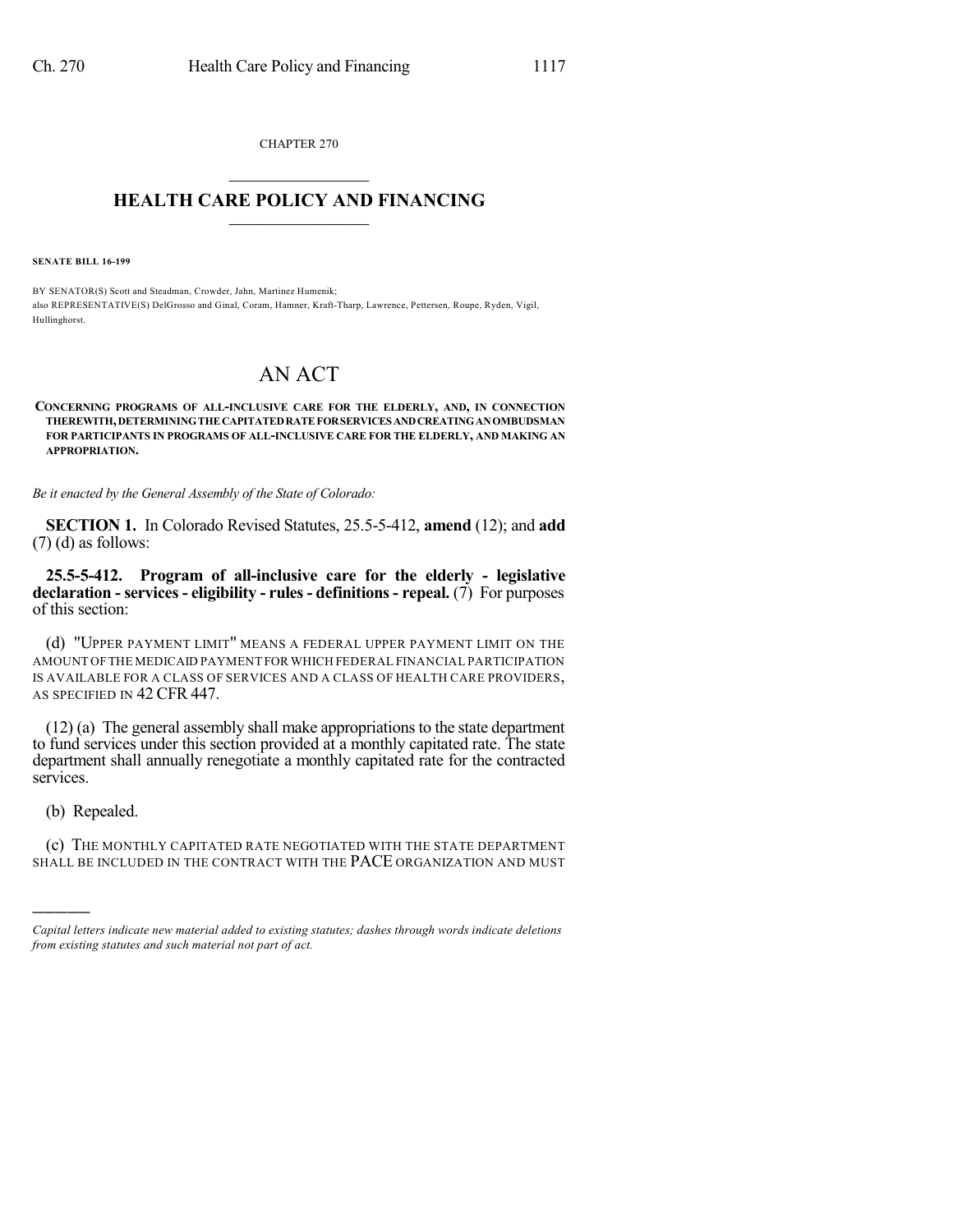CHAPTER 270  $\mathcal{L}_\text{max}$  . The set of the set of the set of the set of the set of the set of the set of the set of the set of the set of the set of the set of the set of the set of the set of the set of the set of the set of the set

## **HEALTH CARE POLICY AND FINANCING**  $\_$   $\_$   $\_$   $\_$   $\_$   $\_$   $\_$   $\_$

**SENATE BILL 16-199**

BY SENATOR(S) Scott and Steadman, Crowder, Jahn, Martinez Humenik; also REPRESENTATIVE(S) DelGrosso and Ginal, Coram, Hamner, Kraft-Tharp, Lawrence, Pettersen, Roupe, Ryden, Vigil, Hullinghorst.

## AN ACT

**CONCERNING PROGRAMS OF ALL-INCLUSIVE CARE FOR THE ELDERLY, AND, IN CONNECTION THEREWITH,DETERMININGTHECAPITATEDRATEFORSERVICESANDCREATINGANOMBUDSMAN FOR PARTICIPANTS IN PROGRAMS OF ALL-INCLUSIVE CARE FOR THE ELDERLY, AND MAKING AN APPROPRIATION.**

*Be it enacted by the General Assembly of the State of Colorado:*

**SECTION 1.** In Colorado Revised Statutes, 25.5-5-412, **amend** (12); and **add** (7) (d) as follows:

**25.5-5-412. Program of all-inclusive care for the elderly - legislative declaration - services - eligibility - rules- definitions- repeal.** (7) For purposes of this section:

(d) "UPPER PAYMENT LIMIT" MEANS A FEDERAL UPPER PAYMENT LIMIT ON THE AMOUNT OFTHE MEDICAID PAYMENT FOR WHICH FEDERAL FINANCIAL PARTICIPATION IS AVAILABLE FOR A CLASS OF SERVICES AND A CLASS OF HEALTH CARE PROVIDERS, AS SPECIFIED IN 42 CFR 447.

 $(12)$  (a) The general assembly shall make appropriations to the state department to fund services under this section provided at a monthly capitated rate. The state department shall annually renegotiate a monthly capitated rate for the contracted services.

(b) Repealed.

)))))

(c) THE MONTHLY CAPITATED RATE NEGOTIATED WITH THE STATE DEPARTMENT SHALL BE INCLUDED IN THE CONTRACT WITH THE PACE ORGANIZATION AND MUST

*Capital letters indicate new material added to existing statutes; dashes through words indicate deletions from existing statutes and such material not part of act.*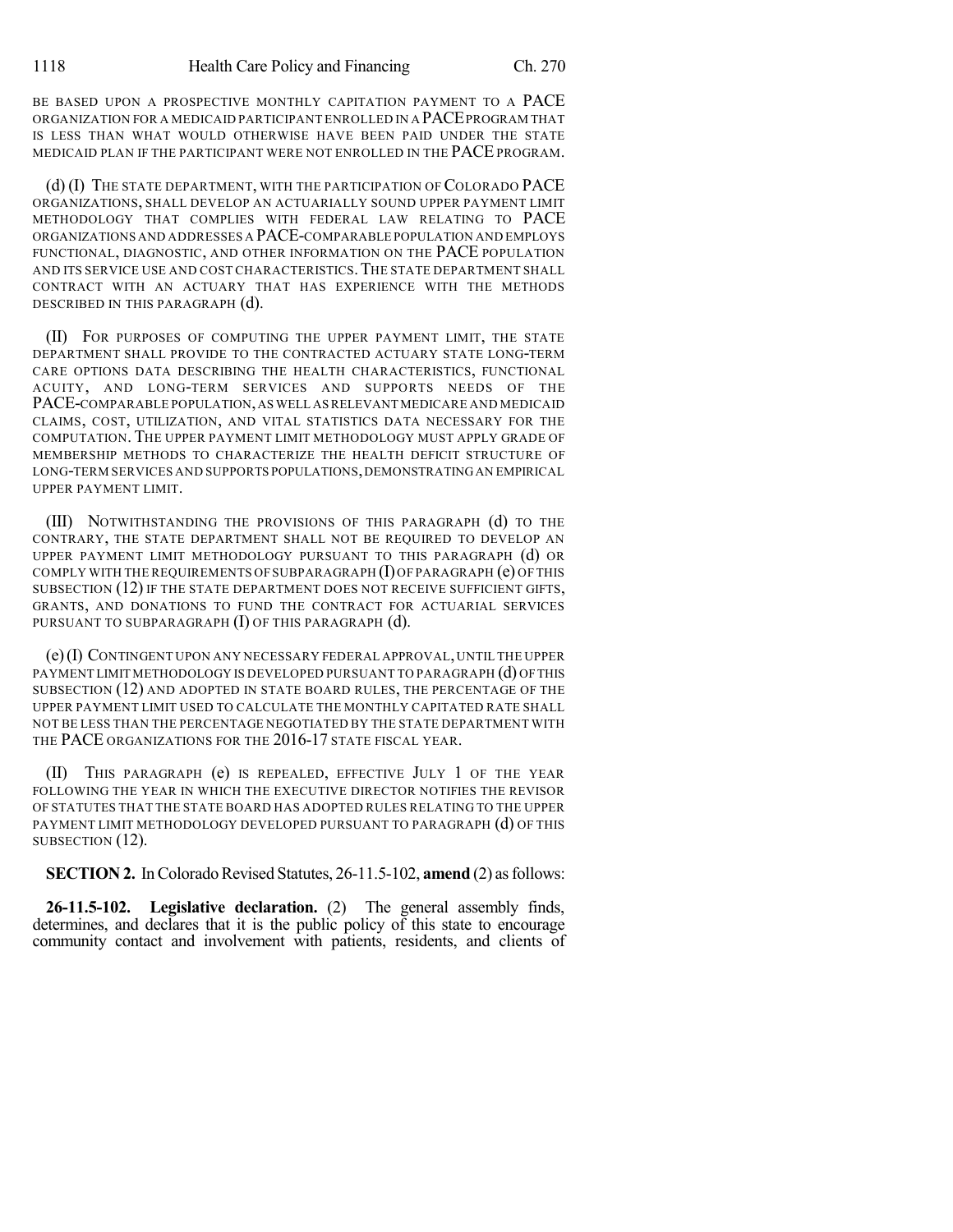BE BASED UPON A PROSPECTIVE MONTHLY CAPITATION PAYMENT TO A PACE ORGANIZATION FOR A MEDICAID PARTICIPANT ENROLLED IN A PACEPROGRAM THAT IS LESS THAN WHAT WOULD OTHERWISE HAVE BEEN PAID UNDER THE STATE MEDICAID PLAN IF THE PARTICIPANT WERE NOT ENROLLED IN THE PACE PROGRAM.

(d) (I) THE STATE DEPARTMENT, WITH THE PARTICIPATION OF COLORADO PACE ORGANIZATIONS, SHALL DEVELOP AN ACTUARIALLY SOUND UPPER PAYMENT LIMIT METHODOLOGY THAT COMPLIES WITH FEDERAL LAW RELATING TO PACE ORGANIZATIONS AND ADDRESSES A PACE-COMPARABLE POPULATION AND EMPLOYS FUNCTIONAL, DIAGNOSTIC, AND OTHER INFORMATION ON THE PACE POPULATION AND ITS SERVICE USE AND COST CHARACTERISTICS.THE STATE DEPARTMENT SHALL CONTRACT WITH AN ACTUARY THAT HAS EXPERIENCE WITH THE METHODS DESCRIBED IN THIS PARAGRAPH (d).

(II) FOR PURPOSES OF COMPUTING THE UPPER PAYMENT LIMIT, THE STATE DEPARTMENT SHALL PROVIDE TO THE CONTRACTED ACTUARY STATE LONG-TERM CARE OPTIONS DATA DESCRIBING THE HEALTH CHARACTERISTICS, FUNCTIONAL ACUITY, AND LONG-TERM SERVICES AND SUPPORTS NEEDS OF THE PACE-COMPARABLE POPULATION,AS WELL ASRELEVANT MEDICARE AND MEDICAID CLAIMS, COST, UTILIZATION, AND VITAL STATISTICS DATA NECESSARY FOR THE COMPUTATION. THE UPPER PAYMENT LIMIT METHODOLOGY MUST APPLY GRADE OF MEMBERSHIP METHODS TO CHARACTERIZE THE HEALTH DEFICIT STRUCTURE OF LONG-TERM SERVICES AND SUPPORTS POPULATIONS, DEMONSTRATING AN EMPIRICAL UPPER PAYMENT LIMIT.

(III) NOTWITHSTANDING THE PROVISIONS OF THIS PARAGRAPH (d) TO THE CONTRARY, THE STATE DEPARTMENT SHALL NOT BE REQUIRED TO DEVELOP AN UPPER PAYMENT LIMIT METHODOLOGY PURSUANT TO THIS PARAGRAPH (d) OR COMPLY WITH THE REQUIREMENTS OF SUBPARAGRAPH (I) OF PARAGRAPH (e) OF THIS SUBSECTION (12) IF THE STATE DEPARTMENT DOES NOT RECEIVE SUFFICIENT GIFTS, GRANTS, AND DONATIONS TO FUND THE CONTRACT FOR ACTUARIAL SERVICES PURSUANT TO SUBPARAGRAPH (I) OF THIS PARAGRAPH (d).

(e)(I) CONTINGENT UPON ANY NECESSARY FEDERAL APPROVAL,UNTIL THE UPPER PAYMENT LIMIT METHODOLOGY IS DEVELOPED PURSUANT TO PARAGRAPH (d) OFTHIS SUBSECTION (12) AND ADOPTED IN STATE BOARD RULES, THE PERCENTAGE OF THE UPPER PAYMENT LIMIT USED TO CALCULATE THE MONTHLY CAPITATED RATE SHALL NOT BE LESS THAN THE PERCENTAGE NEGOTIATED BY THE STATE DEPARTMENT WITH THE PACE ORGANIZATIONS FOR THE 2016-17 STATE FISCAL YEAR.

(II) THIS PARAGRAPH (e) IS REPEALED, EFFECTIVE JULY 1 OF THE YEAR FOLLOWING THE YEAR IN WHICH THE EXECUTIVE DIRECTOR NOTIFIES THE REVISOR OF STATUTES THAT THE STATE BOARD HAS ADOPTED RULES RELATING TO THE UPPER PAYMENT LIMIT METHODOLOGY DEVELOPED PURSUANT TO PARAGRAPH (d) OF THIS SUBSECTION  $(12)$ .

**SECTION 2.** In Colorado Revised Statutes, 26-11.5-102, **amend** (2) as follows:

**26-11.5-102. Legislative declaration.** (2) The general assembly finds, determines, and declares that it is the public policy of this state to encourage community contact and involvement with patients, residents, and clients of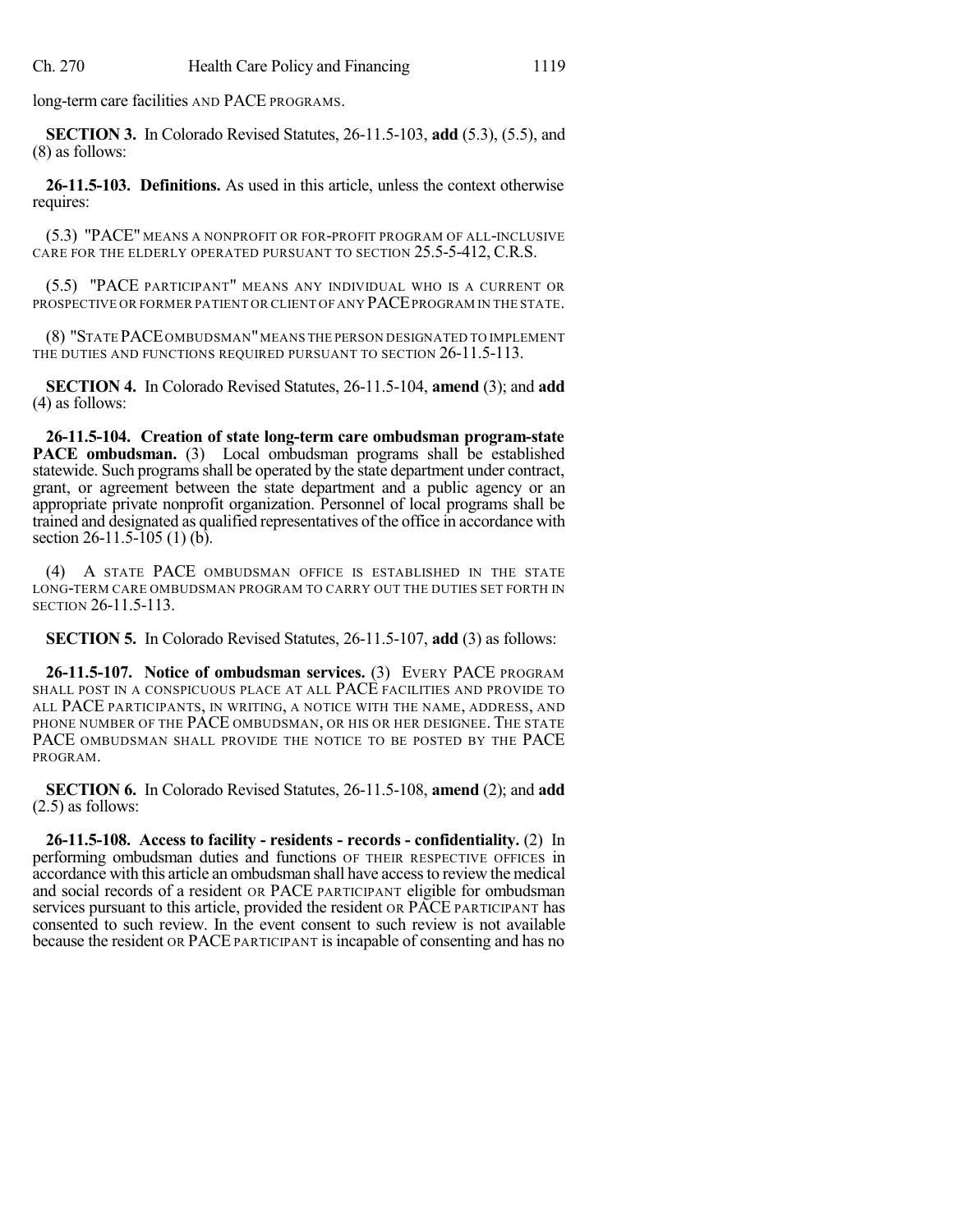long-term care facilities AND PACE PROGRAMS.

**SECTION 3.** In Colorado Revised Statutes, 26-11.5-103, **add** (5.3), (5.5), and (8) as follows:

**26-11.5-103. Definitions.** As used in this article, unless the context otherwise requires:

(5.3) "PACE" MEANS A NONPROFIT OR FOR-PROFIT PROGRAM OF ALL-INCLUSIVE CARE FOR THE ELDERLY OPERATED PURSUANT TO SECTION 25.5-5-412, C.R.S.

(5.5) "PACE PARTICIPANT" MEANS ANY INDIVIDUAL WHO IS A CURRENT OR PROSPECTIVE OR FORMER PATIENT OR CLIENT OF ANY PACE PROGRAM IN THE STATE.

(8) "STATE PACEOMBUDSMAN"MEANS THE PERSON DESIGNATED TO IMPLEMENT THE DUTIES AND FUNCTIONS REQUIRED PURSUANT TO SECTION 26-11.5-113.

**SECTION 4.** In Colorado Revised Statutes, 26-11.5-104, **amend** (3); and **add** (4) as follows:

**26-11.5-104. Creation of state long-term care ombudsman program-state PACE ombudsman.** (3) Local ombudsman programs shall be established statewide. Such programs shall be operated by the state department under contract, grant, or agreement between the state department and a public agency or an appropriate private nonprofit organization. Personnel of local programs shall be trained and designated as qualified representatives of the office in accordance with section 26-11.5-105 (1) (b).

(4) A STATE PACE OMBUDSMAN OFFICE IS ESTABLISHED IN THE STATE LONG-TERM CARE OMBUDSMAN PROGRAM TO CARRY OUT THE DUTIES SET FORTH IN SECTION 26-11.5-113.

**SECTION 5.** In Colorado Revised Statutes, 26-11.5-107, **add** (3) as follows:

**26-11.5-107. Notice of ombudsman services.** (3) EVERY PACE PROGRAM SHALL POST IN A CONSPICUOUS PLACE AT ALL PACE FACILITIES AND PROVIDE TO ALL PACE PARTICIPANTS, IN WRITING, A NOTICE WITH THE NAME, ADDRESS, AND PHONE NUMBER OF THE PACE OMBUDSMAN, OR HIS OR HER DESIGNEE. THE STATE PACE OMBUDSMAN SHALL PROVIDE THE NOTICE TO BE POSTED BY THE PACE PROGRAM.

**SECTION 6.** In Colorado Revised Statutes, 26-11.5-108, **amend** (2); and **add** (2.5) as follows:

**26-11.5-108. Access to facility - residents - records - confidentiality.** (2) In performing ombudsman duties and functions OF THEIR RESPECTIVE OFFICES in accordance with this article an ombudsman shall have accessto review the medical and social records of a resident OR PACE PARTICIPANT eligible for ombudsman services pursuant to this article, provided the resident OR PACE PARTICIPANT has consented to such review. In the event consent to such review is not available because the resident OR PACE PARTICIPANT is incapable of consenting and has no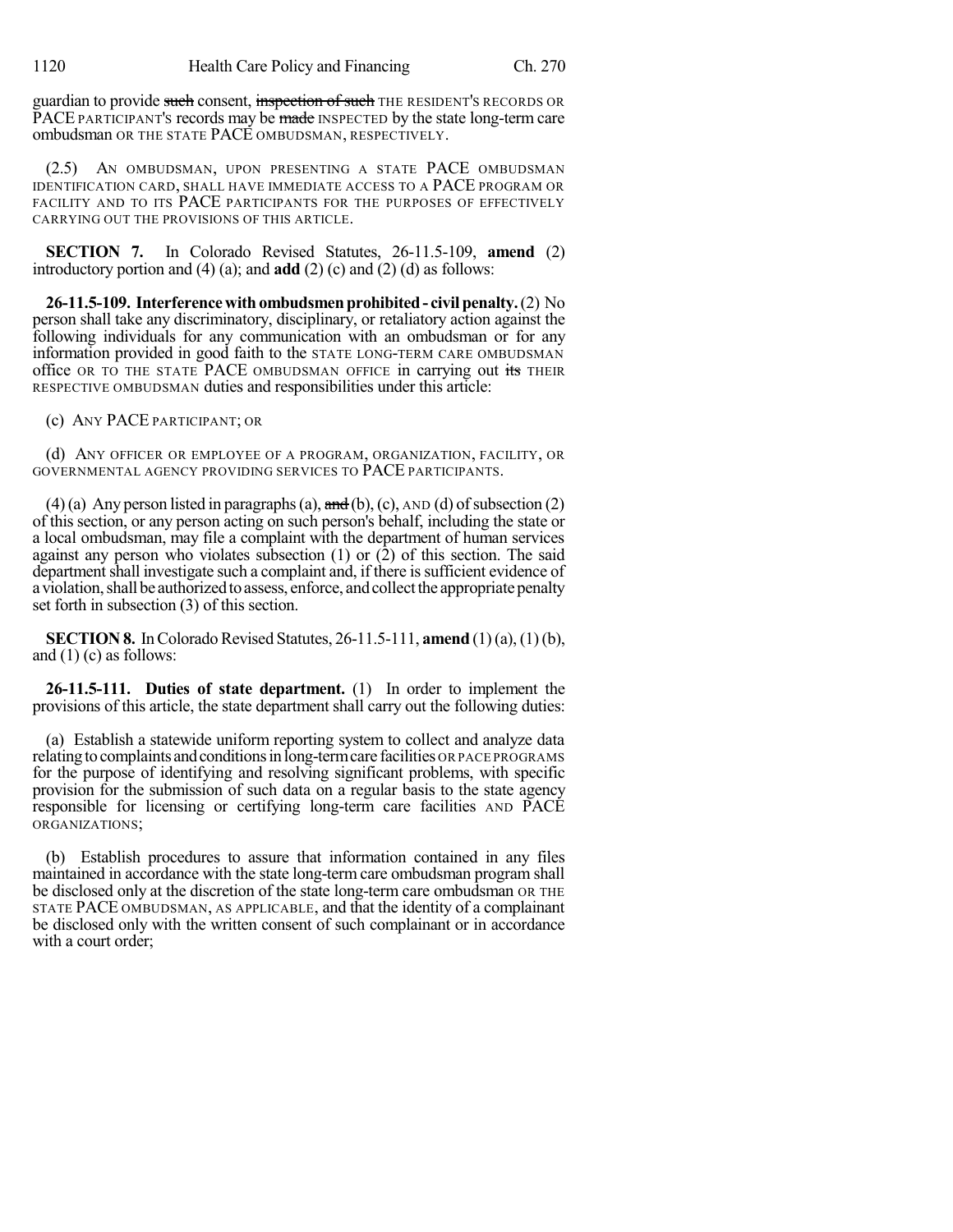guardian to provide such consent, inspection of such THE RESIDENT'S RECORDS OR PACE PARTICIPANT's records may be made INSPECTED by the state long-term care ombudsman OR THE STATE PACE OMBUDSMAN, RESPECTIVELY.

(2.5) AN OMBUDSMAN, UPON PRESENTING A STATE PACE OMBUDSMAN IDENTIFICATION CARD, SHALL HAVE IMMEDIATE ACCESS TO A PACE PROGRAM OR FACILITY AND TO ITS PACE PARTICIPANTS FOR THE PURPOSES OF EFFECTIVELY CARRYING OUT THE PROVISIONS OF THIS ARTICLE.

**SECTION 7.** In Colorado Revised Statutes, 26-11.5-109, **amend** (2) introductory portion and (4) (a); and **add** (2) (c) and (2) (d) as follows:

**26-11.5-109. Interferencewithombudsmenprohibited- civilpenalty.**(2) No person shall take any discriminatory, disciplinary, or retaliatory action against the following individuals for any communication with an ombudsman or for any information provided in good faith to the STATE LONG-TERM CARE OMBUDSMAN office OR TO THE STATE PACE OMBUDSMAN OFFICE in carrying out its THEIR RESPECTIVE OMBUDSMAN duties and responsibilities under this article:

(c) ANY PACE PARTICIPANT; OR

(d) ANY OFFICER OR EMPLOYEE OF A PROGRAM, ORGANIZATION, FACILITY, OR GOVERNMENTAL AGENCY PROVIDING SERVICES TO PACE PARTICIPANTS.

(4)(a) Any person listed in paragraphs (a),  $\overline{and}$  (b), (c), AND (d) of subsection (2) of this section, or any person acting on such person's behalf, including the state or a local ombudsman, may file a complaint with the department of human services against any person who violates subsection  $(1)$  or  $(2)$  of this section. The said department shall investigate such a complaint and, if there is sufficient evidence of a violation, shall be authorized to assess, enforce, and collect the appropriate penalty set forth in subsection (3) of this section.

**SECTION 8.** In Colorado Revised Statutes, 26-11.5-111, **amend** (1)(a), (1)(b), and  $(1)$  (c) as follows:

**26-11.5-111. Duties of state department.** (1) In order to implement the provisions of this article, the state department shall carry out the following duties:

(a) Establish a statewide uniform reporting system to collect and analyze data relating to complaints and conditions in long-term care facilities OR PACE PROGRAMS for the purpose of identifying and resolving significant problems, with specific provision for the submission of such data on a regular basis to the state agency responsible for licensing or certifying long-term care facilities AND PACE ORGANIZATIONS;

(b) Establish procedures to assure that information contained in any files maintained in accordance with the state long-term care ombudsman program shall be disclosed only at the discretion of the state long-term care ombudsman OR THE STATE PACE OMBUDSMAN, AS APPLICABLE, and that the identity of a complainant be disclosed only with the written consent of such complainant or in accordance with a court order;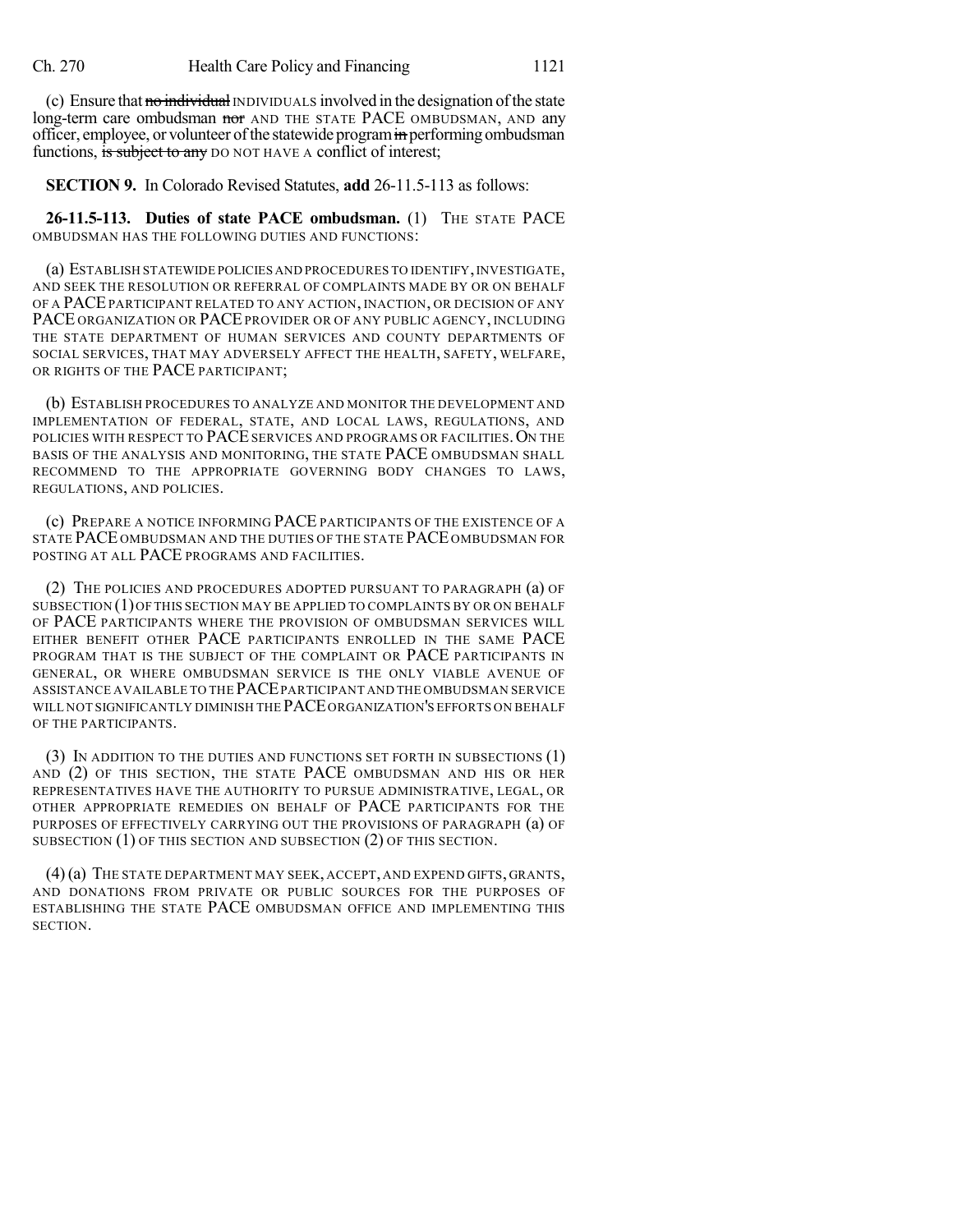(c) Ensure that no individual INDIVIDUALS involved in the designation of the state long-term care ombudsman nor AND THE STATE PACE OMBUDSMAN, AND any officer, employee, or volunteer of the statewide program in performing ombudsman functions, is subject to any DO NOT HAVE A conflict of interest;

**SECTION 9.** In Colorado Revised Statutes, **add** 26-11.5-113 as follows:

**26-11.5-113. Duties of state PACE ombudsman.** (1) THE STATE PACE OMBUDSMAN HAS THE FOLLOWING DUTIES AND FUNCTIONS:

(a) ESTABLISH STATEWIDE POLICIES AND PROCEDURES TO IDENTIFY,INVESTIGATE, AND SEEK THE RESOLUTION OR REFERRAL OF COMPLAINTS MADE BY OR ON BEHALF OF A PACE PARTICIPANT RELATED TO ANY ACTION, INACTION, OR DECISION OF ANY PACE ORGANIZATION OR PACE PROVIDER OR OF ANY PUBLIC AGENCY, INCLUDING THE STATE DEPARTMENT OF HUMAN SERVICES AND COUNTY DEPARTMENTS OF SOCIAL SERVICES, THAT MAY ADVERSELY AFFECT THE HEALTH, SAFETY, WELFARE, OR RIGHTS OF THE PACE PARTICIPANT;

(b) ESTABLISH PROCEDURES TO ANALYZE AND MONITOR THE DEVELOPMENT AND IMPLEMENTATION OF FEDERAL, STATE, AND LOCAL LAWS, REGULATIONS, AND POLICIES WITH RESPECT TO PACE SERVICES AND PROGRAMS OR FACILITIES. ON THE BASIS OF THE ANALYSIS AND MONITORING, THE STATE PACE OMBUDSMAN SHALL RECOMMEND TO THE APPROPRIATE GOVERNING BODY CHANGES TO LAWS, REGULATIONS, AND POLICIES.

(c) PREPARE A NOTICE INFORMING PACE PARTICIPANTS OF THE EXISTENCE OF A STATE PACE OMBUDSMAN AND THE DUTIES OF THE STATE PACE OMBUDSMAN FOR POSTING AT ALL PACE PROGRAMS AND FACILITIES.

(2) THE POLICIES AND PROCEDURES ADOPTED PURSUANT TO PARAGRAPH (a) OF SUBSECTION (1)OF THIS SECTION MAY BE APPLIED TO COMPLAINTS BY OR ON BEHALF OF PACE PARTICIPANTS WHERE THE PROVISION OF OMBUDSMAN SERVICES WILL EITHER BENEFIT OTHER PACE PARTICIPANTS ENROLLED IN THE SAME PACE PROGRAM THAT IS THE SUBJECT OF THE COMPLAINT OR PACE PARTICIPANTS IN GENERAL, OR WHERE OMBUDSMAN SERVICE IS THE ONLY VIABLE AVENUE OF ASSISTANCE AVAILABLE TO THE PACEPARTICIPANT AND THE OMBUDSMAN SERVICE WILL NOT SIGNIFICANTLY DIMINISH THE PACEORGANIZATION'S EFFORTS ON BEHALF OF THE PARTICIPANTS.

(3) IN ADDITION TO THE DUTIES AND FUNCTIONS SET FORTH IN SUBSECTIONS (1) AND (2) OF THIS SECTION, THE STATE PACE OMBUDSMAN AND HIS OR HER REPRESENTATIVES HAVE THE AUTHORITY TO PURSUE ADMINISTRATIVE, LEGAL, OR OTHER APPROPRIATE REMEDIES ON BEHALF OF PACE PARTICIPANTS FOR THE PURPOSES OF EFFECTIVELY CARRYING OUT THE PROVISIONS OF PARAGRAPH (a) OF SUBSECTION (1) OF THIS SECTION AND SUBSECTION (2) OF THIS SECTION.

(4)(a) THE STATE DEPARTMENT MAY SEEK, ACCEPT, AND EXPEND GIFTS, GRANTS, AND DONATIONS FROM PRIVATE OR PUBLIC SOURCES FOR THE PURPOSES OF ESTABLISHING THE STATE PACE OMBUDSMAN OFFICE AND IMPLEMENTING THIS SECTION.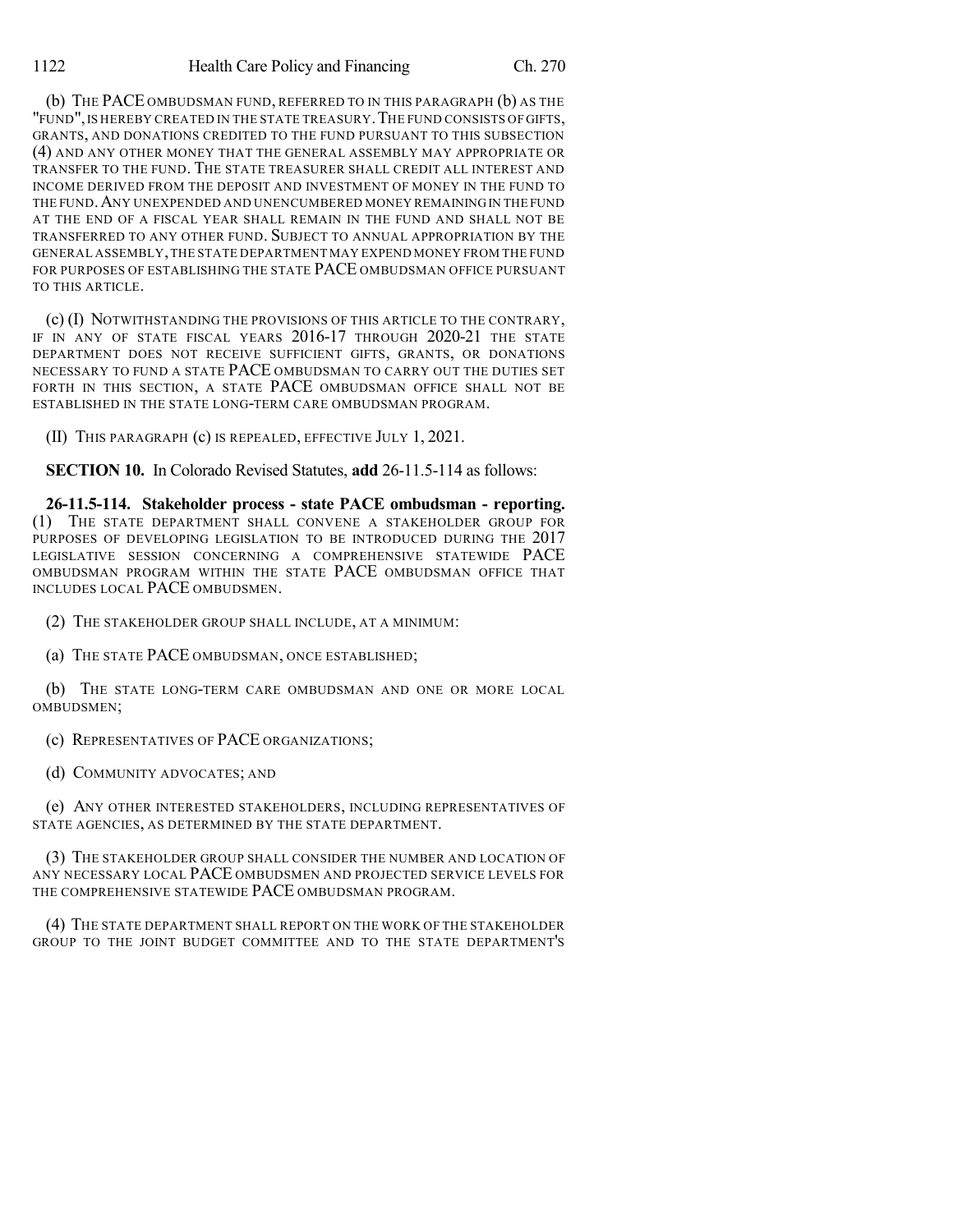(b) THE PACE OMBUDSMAN FUND, REFERRED TO IN THIS PARAGRAPH (b) AS THE "FUND", IS HEREBY CREATED IN THE STATE TREASURY. THE FUND CONSISTS OF GIFTS, GRANTS, AND DONATIONS CREDITED TO THE FUND PURSUANT TO THIS SUBSECTION (4) AND ANY OTHER MONEY THAT THE GENERAL ASSEMBLY MAY APPROPRIATE OR TRANSFER TO THE FUND. THE STATE TREASURER SHALL CREDIT ALL INTEREST AND INCOME DERIVED FROM THE DEPOSIT AND INVESTMENT OF MONEY IN THE FUND TO THE FUND.ANY UNEXPENDED AND UNENCUMBERED MONEY REMAININGIN THE FUND AT THE END OF A FISCAL YEAR SHALL REMAIN IN THE FUND AND SHALL NOT BE TRANSFERRED TO ANY OTHER FUND. SUBJECT TO ANNUAL APPROPRIATION BY THE GENERAL ASSEMBLY,THE STATE DEPARTMENT MAY EXPEND MONEY FROM THE FUND FOR PURPOSES OF ESTABLISHING THE STATE PACE OMBUDSMAN OFFICE PURSUANT TO THIS ARTICLE.

(c) (I) NOTWITHSTANDING THE PROVISIONS OF THIS ARTICLE TO THE CONTRARY, IF IN ANY OF STATE FISCAL YEARS 2016-17 THROUGH 2020-21 THE STATE DEPARTMENT DOES NOT RECEIVE SUFFICIENT GIFTS, GRANTS, OR DONATIONS NECESSARY TO FUND A STATE PACE OMBUDSMAN TO CARRY OUT THE DUTIES SET FORTH IN THIS SECTION, A STATE PACE OMBUDSMAN OFFICE SHALL NOT BE ESTABLISHED IN THE STATE LONG-TERM CARE OMBUDSMAN PROGRAM.

(II) THIS PARAGRAPH (c) IS REPEALED, EFFECTIVE JULY 1, 2021.

**SECTION 10.** In Colorado Revised Statutes, **add** 26-11.5-114 as follows:

**26-11.5-114. Stakeholder process - state PACE ombudsman - reporting.** (1) THE STATE DEPARTMENT SHALL CONVENE A STAKEHOLDER GROUP FOR PURPOSES OF DEVELOPING LEGISLATION TO BE INTRODUCED DURING THE 2017 LEGISLATIVE SESSION CONCERNING A COMPREHENSIVE STATEWIDE PACE OMBUDSMAN PROGRAM WITHIN THE STATE PACE OMBUDSMAN OFFICE THAT INCLUDES LOCAL PACE OMBUDSMEN.

(2) THE STAKEHOLDER GROUP SHALL INCLUDE, AT A MINIMUM:

(a) THE STATE PACE OMBUDSMAN, ONCE ESTABLISHED;

(b) THE STATE LONG-TERM CARE OMBUDSMAN AND ONE OR MORE LOCAL OMBUDSMEN;

(c) REPRESENTATIVES OF PACE ORGANIZATIONS;

(d) COMMUNITY ADVOCATES; AND

(e) ANY OTHER INTERESTED STAKEHOLDERS, INCLUDING REPRESENTATIVES OF STATE AGENCIES, AS DETERMINED BY THE STATE DEPARTMENT.

(3) THE STAKEHOLDER GROUP SHALL CONSIDER THE NUMBER AND LOCATION OF ANY NECESSARY LOCAL PACE OMBUDSMEN AND PROJECTED SERVICE LEVELS FOR THE COMPREHENSIVE STATEWIDE PACE OMBUDSMAN PROGRAM.

(4) THE STATE DEPARTMENT SHALL REPORT ON THE WORK OF THE STAKEHOLDER GROUP TO THE JOINT BUDGET COMMITTEE AND TO THE STATE DEPARTMENT'S